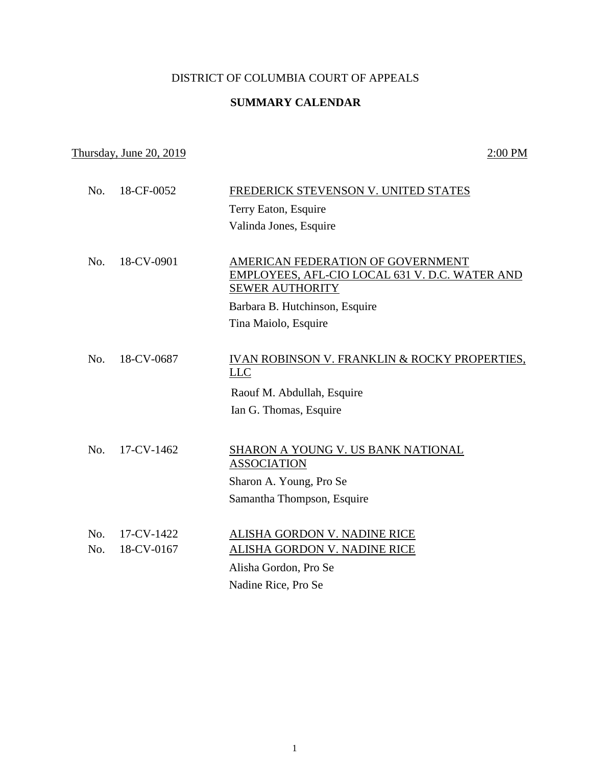## DISTRICT OF COLUMBIA COURT OF APPEALS

## **SUMMARY CALENDAR**

## Thursday, June 20, 2019  $2:00 \text{ PM}$

| No. | 18-CF-0052 | FREDERICK STEVENSON V. UNITED STATES                                                                          |
|-----|------------|---------------------------------------------------------------------------------------------------------------|
|     |            | Terry Eaton, Esquire                                                                                          |
|     |            | Valinda Jones, Esquire                                                                                        |
|     |            |                                                                                                               |
| No. | 18-CV-0901 | AMERICAN FEDERATION OF GOVERNMENT<br>EMPLOYEES, AFL-CIO LOCAL 631 V. D.C. WATER AND<br><b>SEWER AUTHORITY</b> |
|     |            | Barbara B. Hutchinson, Esquire                                                                                |
|     |            | Tina Maiolo, Esquire                                                                                          |
|     |            |                                                                                                               |
| No. | 18-CV-0687 | <b>IVAN ROBINSON V. FRANKLIN &amp; ROCKY PROPERTIES,</b><br>L <sub>LC</sub>                                   |
|     |            | Raouf M. Abdullah, Esquire                                                                                    |
|     |            | Ian G. Thomas, Esquire                                                                                        |
|     |            |                                                                                                               |
| No. | 17-CV-1462 | SHARON A YOUNG V. US BANK NATIONAL<br><b>ASSOCIATION</b>                                                      |
|     |            | Sharon A. Young, Pro Se                                                                                       |
|     |            | Samantha Thompson, Esquire                                                                                    |
|     |            |                                                                                                               |
| No. | 17-CV-1422 | ALISHA GORDON V. NADINE RICE                                                                                  |
| No. | 18-CV-0167 | <b>ALISHA GORDON V. NADINE RICE</b>                                                                           |
|     |            | Alisha Gordon, Pro Se                                                                                         |
|     |            | Nadine Rice, Pro Se                                                                                           |
|     |            |                                                                                                               |